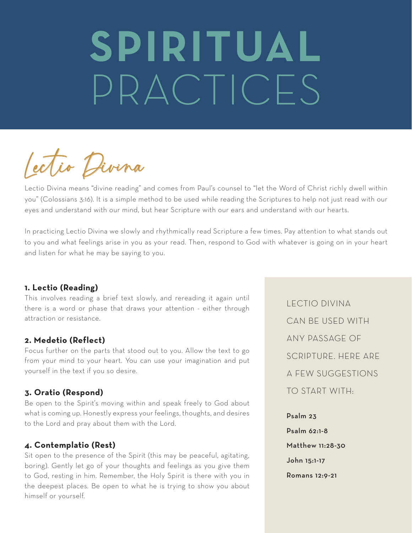# **SPIRITUAL** PRACTICES

Lectio Divina

Lectio Divina means "divine reading" and comes from Paul's counsel to "let the Word of Christ richly dwell within you" (Colossians 3:16). It is a simple method to be used while reading the Scriptures to help not just read with our eyes and understand with our mind, but hear Scripture with our ears and understand with our hearts.

In practicing Lectio Divina we slowly and rhythmically read Scripture a few times. Pay attention to what stands out to you and what feelings arise in you as your read. Then, respond to God with whatever is going on in your heart and listen for what he may be saying to you.

## **1. Lectio (Reading)**

This involves reading a brief text slowly, and rereading it again until there is a word or phase that draws your attention - either through attraction or resistance.

## **2. Medetio (Reflect)**

Focus further on the parts that stood out to you. Allow the text to go from your mind to your heart. You can use your imagination and put yourself in the text if you so desire.

# **3. Oratio (Respond)**

Be open to the Spirit's moving within and speak freely to God about what is coming up. Honestly express your feelings, thoughts, and desires to the Lord and pray about them with the Lord.

## **4. Contemplatio (Rest)**

Sit open to the presence of the Spirit (this may be peaceful, agitating, boring). Gently let go of your thoughts and feelings as you give them to God, resting in him. Remember, the Holy Spirit is there with you in the deepest places. Be open to what he is trying to show you about himself or yourself.

LECTIO DIVINA CAN BE USED WITH ANY PASSAGE OF SCRIPTURE. HERE ARE A FEW SUGGESTIONS TO START WITH:

Psalm 23 Psalm 62:1-8 Matthew 11:28-30 John 15:1-17 Romans 12:9-21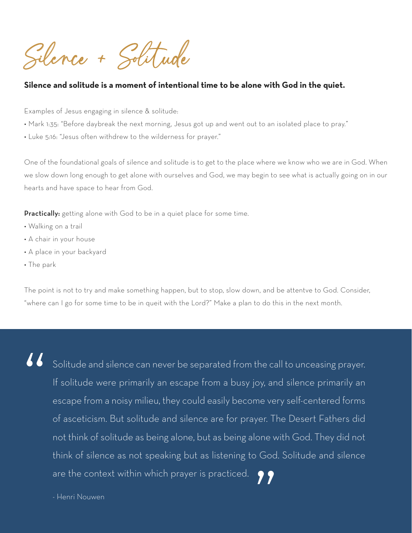Silence + Solitude

# **Silence and solitude is a moment of intentional time to be alone with God in the quiet.**

Examples of Jesus engaging in silence & solitude:

- Mark 1:35: "Before daybreak the next morning, Jesus got up and went out to an isolated place to pray."
- Luke 5:16: "Jesus often withdrew to the wilderness for prayer."

One of the foundational goals of silence and solitude is to get to the place where we know who we are in God. When we slow down long enough to get alone with ourselves and God, we may begin to see what is actually going on in our hearts and have space to hear from God.

**Practically:** getting alone with God to be in a quiet place for some time.

- Walking on a trail
- A chair in your house
- A place in your backyard
- The park

The point is not to try and make something happen, but to stop, slow down, and be attentve to God. Consider, "where can I go for some time to be in queit with the Lord?" Make a plan to do this in the next month.

 $\sqrt{2}$ Solitude and silence can never be separated from the call to unceasing prayer. If solitude were primarily an escape from a busy joy, and silence primarily an escape from a noisy milieu, they could easily become very self-centered forms of asceticism. But solitude and silence are for prayer. The Desert Fathers did not think of solitude as being alone, but as being alone with God. They did not think of silence as not speaking but as listening to God. Solitude and silence are the context within which prayer is practiced.  $\bullet \bullet$ 

- Henri Nouwen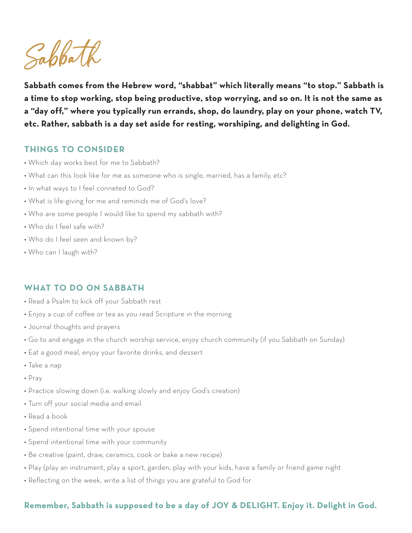Sabbath

**Sabbath comes from the Hebrew word, "shabbat" which literally means "to stop." Sabbath is a time to stop working, stop being productive, stop worrying, and so on. It is not the same as a "day off," where you typically run errands, shop, do laundry, play on your phone, watch TV, etc. Rather, sabbath is a day set aside for resting, worshiping, and delighting in God.** 

## **THINGS TO CONSIDER**

- Which day works best for me to Sabbath?
- What can this look like for me as someone who is single, married, has a family, etc?
- In what ways to I feel conneted to God?
- What is life-giving for me and reminids me of God's love?
- Who are some people I would like to spend my sabbath with?
- Who do I feel safe with?
- Who do I feel seen and known by?
- Who can I laugh with?

## **WHAT TO DO ON SABBATH**

- Read a Psalm to kick off your Sabbath rest
- Enjoy a cup of coffee or tea as you read Scripture in the morning
- Journal thoughts and prayers
- Go to and engage in the church worship service, enjoy church community (if you Sabbath on Sunday)
- Eat a good meal, enjoy your favorite drinks, and dessert
- Take a nap
- Pray
- Practice slowing down (i.e. walking slowly and enjoy God's creation)
- Turn off your social media and email
- Read a book
- Spend intentional time with your spouse
- Spend intentional time with your community
- Be creative (paint, draw, ceramics, cook or bake a new recipe)
- Play (play an instrument, play a sport, garden, play with your kids, have a family or friend game night
- Reflecting on the week, write a list of things you are grateful to God for

## **Remember, Sabbath is supposed to be a day of JOY & DELIGHT. Enjoy it. Delight in God.**